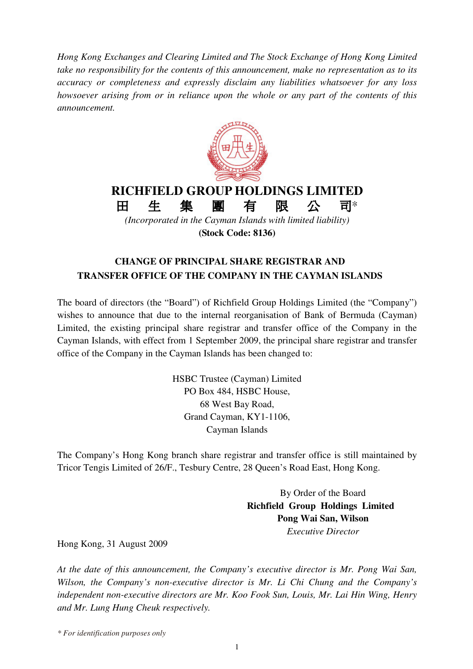*Hong Kong Exchanges and Clearing Limited and The Stock Exchange of Hong Kong Limited take no responsibility for the contents of this announcement, make no representation as to its accuracy or completeness and expressly disclaim any liabilities whatsoever for any loss howsoever arising from or in reliance upon the whole or any part of the contents of this announcement.*



**(Stock Code: 8136)**

## **CHANGE OF PRINCIPAL SHARE REGISTRAR AND TRANSFER OFFICE OF THE COMPANY IN THE CAYMAN ISLANDS**

The board of directors (the "Board") of Richfield Group Holdings Limited (the "Company") wishes to announce that due to the internal reorganisation of Bank of Bermuda (Cayman) Limited, the existing principal share registrar and transfer office of the Company in the Cayman Islands, with effect from 1 September 2009, the principal share registrar and transfer office of the Company in the Cayman Islands has been changed to:

> HSBC Trustee (Cayman) Limited PO Box 484, HSBC House, 68 West Bay Road, Grand Cayman, KY1-1106, Cayman Islands

The Company's Hong Kong branch share registrar and transfer office is still maintained by Tricor Tengis Limited of 26/F., Tesbury Centre, 28 Queen's Road East, Hong Kong.

> By Order of the Board **Richfield Group Holdings Limited Pong Wai San, Wilson** *Executive Director*

Hong Kong, 31 August 2009

*At the date of this announcement, the Company's executive director is Mr. Pong Wai San, Wilson, the Company's non-executive director is Mr. Li Chi Chung and the Company's independent non-executive directors are Mr. Koo Fook Sun, Louis, Mr. Lai Hin Wing, Henry and Mr. Lung Hung Cheuk respectively.*

*\* For identification purposes only*